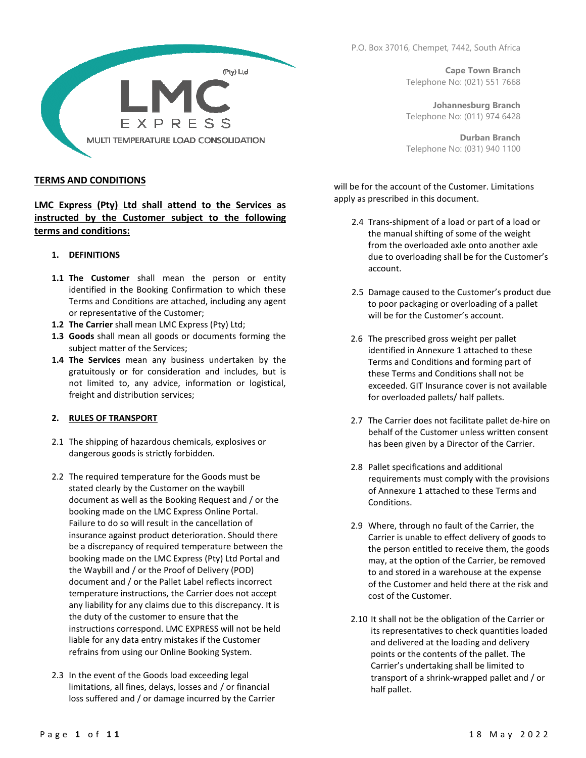

#### TERMS AND CONDITIONS

LMC Express (Pty) Ltd shall attend to the Services as instructed by the Customer subject to the following terms and conditions:

#### 1. DEFINITIONS

- 1.1 The Customer shall mean the person or entity identified in the Booking Confirmation to which these Terms and Conditions are attached, including any agent or representative of the Customer;
- 1.2 The Carrier shall mean LMC Express (Pty) Ltd;
- 1.3 Goods shall mean all goods or documents forming the subject matter of the Services;
- 1.4 The Services mean any business undertaken by the gratuitously or for consideration and includes, but is not limited to, any advice, information or logistical, freight and distribution services;

### 2. RULES OF TRANSPORT

- 2.1 The shipping of hazardous chemicals, explosives or dangerous goods is strictly forbidden.
- 2.2 The required temperature for the Goods must be stated clearly by the Customer on the waybill document as well as the Booking Request and / or the booking made on the LMC Express Online Portal. Failure to do so will result in the cancellation of insurance against product deterioration. Should there be a discrepancy of required temperature between the booking made on the LMC Express (Pty) Ltd Portal and the Waybill and / or the Proof of Delivery (POD) document and / or the Pallet Label reflects incorrect temperature instructions, the Carrier does not accept any liability for any claims due to this discrepancy. It is the duty of the customer to ensure that the instructions correspond. LMC EXPRESS will not be held liable for any data entry mistakes if the Customer refrains from using our Online Booking System.
- 2.3 In the event of the Goods load exceeding legal limitations, all fines, delays, losses and / or financial loss suffered and / or damage incurred by the Carrier

P.O. Box 37016, Chempet, 7442, South Africa

Cape Town Branch Telephone No: (021) 551 7668

Johannesburg Branch Telephone No: (011) 974 6428

Durban Branch Telephone No: (031) 940 1100

will be for the account of the Customer. Limitations apply as prescribed in this document.

- 2.4 Trans-shipment of a load or part of a load or the manual shifting of some of the weight from the overloaded axle onto another axle due to overloading shall be for the Customer's account.
- 2.5 Damage caused to the Customer's product due to poor packaging or overloading of a pallet will be for the Customer's account.
- 2.6 The prescribed gross weight per pallet identified in Annexure 1 attached to these Terms and Conditions and forming part of these Terms and Conditions shall not be exceeded. GIT Insurance cover is not available for overloaded pallets/ half pallets.
- 2.7 The Carrier does not facilitate pallet de-hire on behalf of the Customer unless written consent has been given by a Director of the Carrier.
- 2.8 Pallet specifications and additional requirements must comply with the provisions of Annexure 1 attached to these Terms and Conditions.
- 2.9 Where, through no fault of the Carrier, the Carrier is unable to effect delivery of goods to the person entitled to receive them, the goods may, at the option of the Carrier, be removed to and stored in a warehouse at the expense of the Customer and held there at the risk and cost of the Customer.
- 2.10 It shall not be the obligation of the Carrier or its representatives to check quantities loaded and delivered at the loading and delivery points or the contents of the pallet. The Carrier's undertaking shall be limited to transport of a shrink-wrapped pallet and / or half pallet.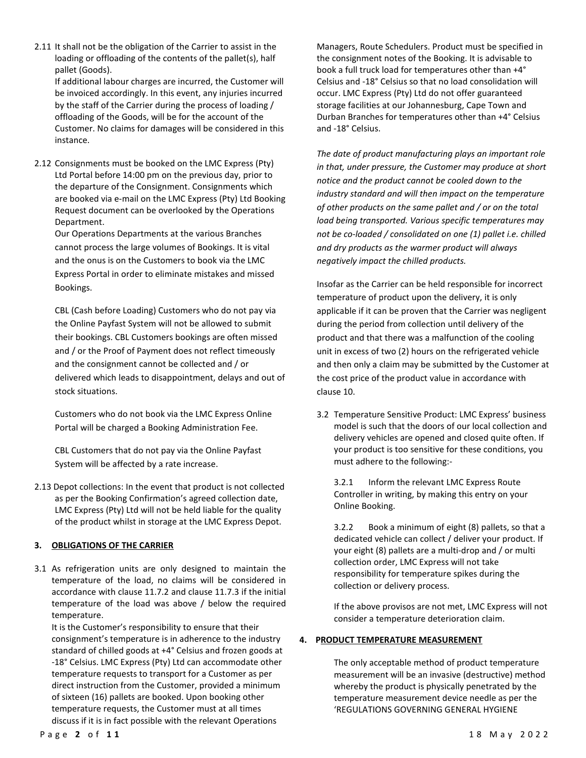2.11 It shall not be the obligation of the Carrier to assist in the loading or offloading of the contents of the pallet(s), half pallet (Goods).

If additional labour charges are incurred, the Customer will be invoiced accordingly. In this event, any injuries incurred by the staff of the Carrier during the process of loading / offloading of the Goods, will be for the account of the Customer. No claims for damages will be considered in this instance.

2.12 Consignments must be booked on the LMC Express (Pty) Ltd Portal before 14:00 pm on the previous day, prior to the departure of the Consignment. Consignments which are booked via e-mail on the LMC Express (Pty) Ltd Booking Request document can be overlooked by the Operations Department.

Our Operations Departments at the various Branches cannot process the large volumes of Bookings. It is vital and the onus is on the Customers to book via the LMC Express Portal in order to eliminate mistakes and missed Bookings.

CBL (Cash before Loading) Customers who do not pay via the Online Payfast System will not be allowed to submit their bookings. CBL Customers bookings are often missed and / or the Proof of Payment does not reflect timeously and the consignment cannot be collected and / or delivered which leads to disappointment, delays and out of stock situations.

Customers who do not book via the LMC Express Online Portal will be charged a Booking Administration Fee.

CBL Customers that do not pay via the Online Payfast System will be affected by a rate increase.

2.13 Depot collections: In the event that product is not collected as per the Booking Confirmation's agreed collection date, LMC Express (Pty) Ltd will not be held liable for the quality of the product whilst in storage at the LMC Express Depot.

# 3. OBLIGATIONS OF THE CARRIER

3.1 As refrigeration units are only designed to maintain the temperature of the load, no claims will be considered in accordance with clause 11.7.2 and clause 11.7.3 if the initial temperature of the load was above / below the required temperature.

It is the Customer's responsibility to ensure that their consignment's temperature is in adherence to the industry standard of chilled goods at +4° Celsius and frozen goods at -18° Celsius. LMC Express (Pty) Ltd can accommodate other temperature requests to transport for a Customer as per direct instruction from the Customer, provided a minimum of sixteen (16) pallets are booked. Upon booking other temperature requests, the Customer must at all times discuss if it is in fact possible with the relevant Operations

Managers, Route Schedulers. Product must be specified in the consignment notes of the Booking. It is advisable to book a full truck load for temperatures other than +4° Celsius and -18° Celsius so that no load consolidation will occur. LMC Express (Pty) Ltd do not offer guaranteed storage facilities at our Johannesburg, Cape Town and Durban Branches for temperatures other than +4° Celsius and -18° Celsius.

The date of product manufacturing plays an important role in that, under pressure, the Customer may produce at short notice and the product cannot be cooled down to the industry standard and will then impact on the temperature of other products on the same pallet and / or on the total load being transported. Various specific temperatures may not be co-loaded / consolidated on one (1) pallet i.e. chilled and dry products as the warmer product will always negatively impact the chilled products.

Insofar as the Carrier can be held responsible for incorrect temperature of product upon the delivery, it is only applicable if it can be proven that the Carrier was negligent during the period from collection until delivery of the product and that there was a malfunction of the cooling unit in excess of two (2) hours on the refrigerated vehicle and then only a claim may be submitted by the Customer at the cost price of the product value in accordance with clause 10.

3.2 Temperature Sensitive Product: LMC Express' business model is such that the doors of our local collection and delivery vehicles are opened and closed quite often. If your product is too sensitive for these conditions, you must adhere to the following:-

3.2.1 Inform the relevant LMC Express Route Controller in writing, by making this entry on your Online Booking.

3.2.2 Book a minimum of eight (8) pallets, so that a dedicated vehicle can collect / deliver your product. If your eight (8) pallets are a multi-drop and / or multi collection order, LMC Express will not take responsibility for temperature spikes during the collection or delivery process.

If the above provisos are not met, LMC Express will not consider a temperature deterioration claim.

# 4. PRODUCT TEMPERATURE MEASUREMENT

The only acceptable method of product temperature measurement will be an invasive (destructive) method whereby the product is physically penetrated by the temperature measurement device needle as per the 'REGULATIONS GOVERNING GENERAL HYGIENE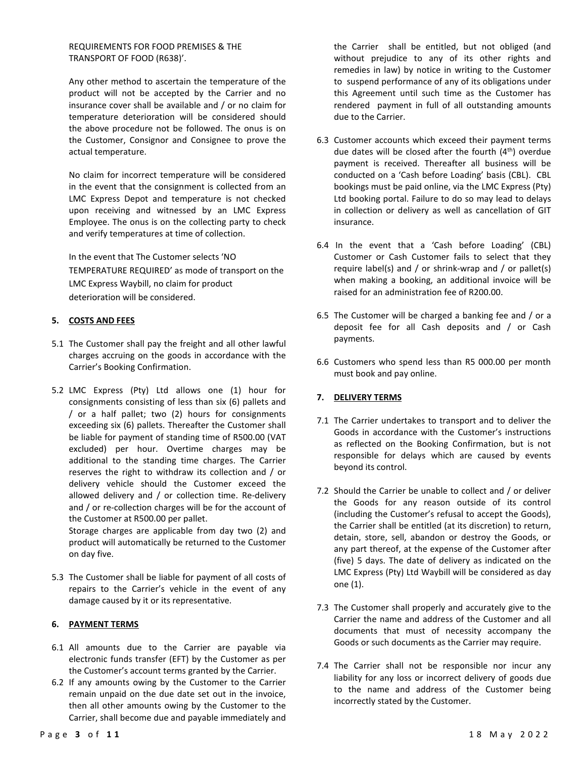REQUIREMENTS FOR FOOD PREMISES & THE TRANSPORT OF FOOD (R638)'.

Any other method to ascertain the temperature of the product will not be accepted by the Carrier and no insurance cover shall be available and / or no claim for temperature deterioration will be considered should the above procedure not be followed. The onus is on the Customer, Consignor and Consignee to prove the actual temperature.

No claim for incorrect temperature will be considered in the event that the consignment is collected from an LMC Express Depot and temperature is not checked upon receiving and witnessed by an LMC Express Employee. The onus is on the collecting party to check and verify temperatures at time of collection.

In the event that The Customer selects 'NO TEMPERATURE REQUIRED' as mode of transport on the LMC Express Waybill, no claim for product deterioration will be considered.

# 5. COSTS AND FEES

- 5.1 The Customer shall pay the freight and all other lawful charges accruing on the goods in accordance with the Carrier's Booking Confirmation.
- 5.2 LMC Express (Pty) Ltd allows one (1) hour for consignments consisting of less than six (6) pallets and / or a half pallet; two (2) hours for consignments exceeding six (6) pallets. Thereafter the Customer shall be liable for payment of standing time of R500.00 (VAT excluded) per hour. Overtime charges may be additional to the standing time charges. The Carrier reserves the right to withdraw its collection and / or delivery vehicle should the Customer exceed the allowed delivery and / or collection time. Re-delivery and / or re-collection charges will be for the account of the Customer at R500.00 per pallet.

Storage charges are applicable from day two (2) and product will automatically be returned to the Customer on day five.

5.3 The Customer shall be liable for payment of all costs of repairs to the Carrier's vehicle in the event of any damage caused by it or its representative.

### 6. PAYMENT TERMS

- 6.1 All amounts due to the Carrier are payable via electronic funds transfer (EFT) by the Customer as per the Customer's account terms granted by the Carrier.
- 6.2 If any amounts owing by the Customer to the Carrier remain unpaid on the due date set out in the invoice, then all other amounts owing by the Customer to the Carrier, shall become due and payable immediately and

the Carrier shall be entitled, but not obliged (and without prejudice to any of its other rights and remedies in law) by notice in writing to the Customer to suspend performance of any of its obligations under this Agreement until such time as the Customer has rendered payment in full of all outstanding amounts due to the Carrier.

- 6.3 Customer accounts which exceed their payment terms due dates will be closed after the fourth  $(4<sup>th</sup>)$  overdue payment is received. Thereafter all business will be conducted on a 'Cash before Loading' basis (CBL). CBL bookings must be paid online, via the LMC Express (Pty) Ltd booking portal. Failure to do so may lead to delays in collection or delivery as well as cancellation of GIT insurance.
- 6.4 In the event that a 'Cash before Loading' (CBL) Customer or Cash Customer fails to select that they require label(s) and / or shrink-wrap and / or pallet(s) when making a booking, an additional invoice will be raised for an administration fee of R200.00.
- 6.5 The Customer will be charged a banking fee and / or a deposit fee for all Cash deposits and / or Cash payments.
- 6.6 Customers who spend less than R5 000.00 per month must book and pay online.

# 7. DELIVERY TERMS

- 7.1 The Carrier undertakes to transport and to deliver the Goods in accordance with the Customer's instructions as reflected on the Booking Confirmation, but is not responsible for delays which are caused by events beyond its control.
- 7.2 Should the Carrier be unable to collect and / or deliver the Goods for any reason outside of its control (including the Customer's refusal to accept the Goods), the Carrier shall be entitled (at its discretion) to return, detain, store, sell, abandon or destroy the Goods, or any part thereof, at the expense of the Customer after (five) 5 days. The date of delivery as indicated on the LMC Express (Pty) Ltd Waybill will be considered as day one (1).
- 7.3 The Customer shall properly and accurately give to the Carrier the name and address of the Customer and all documents that must of necessity accompany the Goods or such documents as the Carrier may require.
- 7.4 The Carrier shall not be responsible nor incur any liability for any loss or incorrect delivery of goods due to the name and address of the Customer being incorrectly stated by the Customer.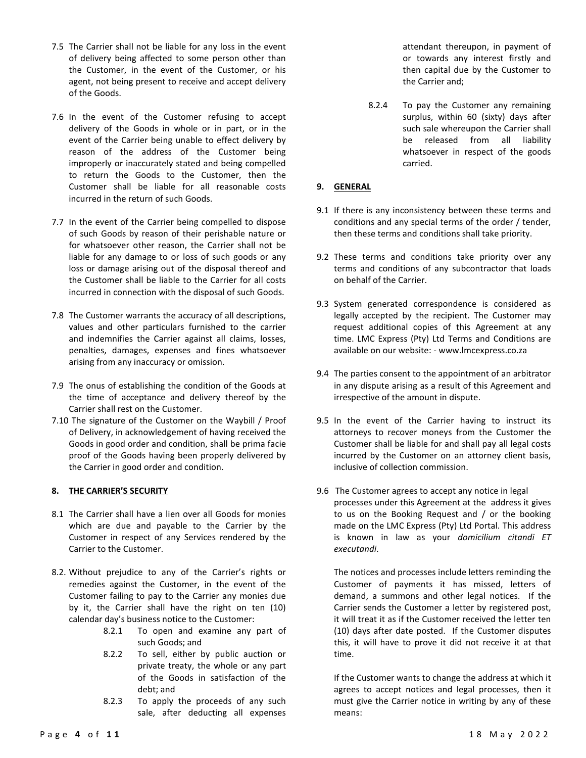- 7.5 The Carrier shall not be liable for any loss in the event of delivery being affected to some person other than the Customer, in the event of the Customer, or his agent, not being present to receive and accept delivery of the Goods.
- 7.6 In the event of the Customer refusing to accept delivery of the Goods in whole or in part, or in the event of the Carrier being unable to effect delivery by reason of the address of the Customer being improperly or inaccurately stated and being compelled to return the Goods to the Customer, then the Customer shall be liable for all reasonable costs incurred in the return of such Goods.
- 7.7 In the event of the Carrier being compelled to dispose of such Goods by reason of their perishable nature or for whatsoever other reason, the Carrier shall not be liable for any damage to or loss of such goods or any loss or damage arising out of the disposal thereof and the Customer shall be liable to the Carrier for all costs incurred in connection with the disposal of such Goods.
- 7.8 The Customer warrants the accuracy of all descriptions, values and other particulars furnished to the carrier and indemnifies the Carrier against all claims, losses, penalties, damages, expenses and fines whatsoever arising from any inaccuracy or omission.
- 7.9 The onus of establishing the condition of the Goods at the time of acceptance and delivery thereof by the Carrier shall rest on the Customer.
- 7.10 The signature of the Customer on the Waybill / Proof of Delivery, in acknowledgement of having received the Goods in good order and condition, shall be prima facie proof of the Goods having been properly delivered by the Carrier in good order and condition.

### 8. THE CARRIER'S SECURITY

- 8.1 The Carrier shall have a lien over all Goods for monies which are due and payable to the Carrier by the Customer in respect of any Services rendered by the Carrier to the Customer.
- 8.2. Without prejudice to any of the Carrier's rights or remedies against the Customer, in the event of the Customer failing to pay to the Carrier any monies due by it, the Carrier shall have the right on ten (10) calendar day's business notice to the Customer:
	- 8.2.1 To open and examine any part of such Goods; and
	- 8.2.2 To sell, either by public auction or private treaty, the whole or any part of the Goods in satisfaction of the debt; and
	- 8.2.3 To apply the proceeds of any such sale, after deducting all expenses

attendant thereupon, in payment of or towards any interest firstly and then capital due by the Customer to the Carrier and;

8.2.4 To pay the Customer any remaining surplus, within 60 (sixty) days after such sale whereupon the Carrier shall be released from all liability whatsoever in respect of the goods carried.

# 9. GENERAL

- 9.1 If there is any inconsistency between these terms and conditions and any special terms of the order / tender, then these terms and conditions shall take priority.
- 9.2 These terms and conditions take priority over any terms and conditions of any subcontractor that loads on behalf of the Carrier.
- 9.3 System generated correspondence is considered as legally accepted by the recipient. The Customer may request additional copies of this Agreement at any time. LMC Express (Pty) Ltd Terms and Conditions are available on our website: - www.lmcexpress.co.za
- 9.4 The parties consent to the appointment of an arbitrator in any dispute arising as a result of this Agreement and irrespective of the amount in dispute.
- 9.5 In the event of the Carrier having to instruct its attorneys to recover moneys from the Customer the Customer shall be liable for and shall pay all legal costs incurred by the Customer on an attorney client basis, inclusive of collection commission.
- 9.6 The Customer agrees to accept any notice in legal processes under this Agreement at the address it gives to us on the Booking Request and / or the booking made on the LMC Express (Pty) Ltd Portal. This address is known in law as your domicilium citandi ET executandi.

The notices and processes include letters reminding the Customer of payments it has missed, letters of demand, a summons and other legal notices. If the Carrier sends the Customer a letter by registered post, it will treat it as if the Customer received the letter ten (10) days after date posted. If the Customer disputes this, it will have to prove it did not receive it at that time.

If the Customer wants to change the address at which it agrees to accept notices and legal processes, then it must give the Carrier notice in writing by any of these means: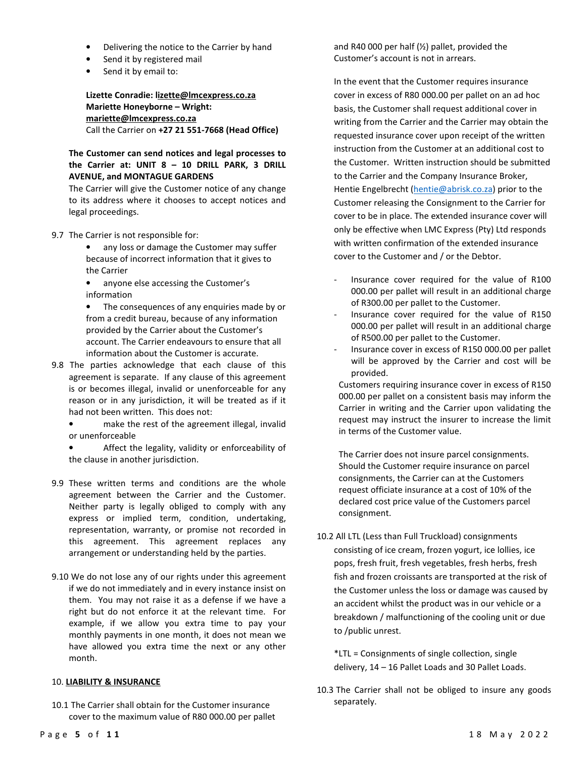- Delivering the notice to the Carrier by hand
- Send it by registered mail
- Send it by email to:

Lizette Conradie: lizette@lmcexpress.co.za Mariette Honeyborne – Wright: mariette@lmcexpress.co.za Call the Carrier on +27 21 551-7668 (Head Office)

# The Customer can send notices and legal processes to the Carrier at: UNIT 8 – 10 DRILL PARK, 3 DRILL AVENUE, and MONTAGUE GARDENS

The Carrier will give the Customer notice of any change to its address where it chooses to accept notices and legal proceedings.

- 9.7 The Carrier is not responsible for:
	- any loss or damage the Customer may suffer because of incorrect information that it gives to the Carrier
	- anyone else accessing the Customer's information
	- The consequences of any enquiries made by or from a credit bureau, because of any information provided by the Carrier about the Customer's account. The Carrier endeavours to ensure that all information about the Customer is accurate.
- 9.8 The parties acknowledge that each clause of this agreement is separate. If any clause of this agreement is or becomes illegal, invalid or unenforceable for any reason or in any jurisdiction, it will be treated as if it had not been written. This does not:
	- make the rest of the agreement illegal, invalid or unenforceable
	- Affect the legality, validity or enforceability of the clause in another jurisdiction.
- 9.9 These written terms and conditions are the whole agreement between the Carrier and the Customer. Neither party is legally obliged to comply with any express or implied term, condition, undertaking, representation, warranty, or promise not recorded in this agreement. This agreement replaces any arrangement or understanding held by the parties.
- 9.10 We do not lose any of our rights under this agreement if we do not immediately and in every instance insist on them. You may not raise it as a defense if we have a right but do not enforce it at the relevant time. For example, if we allow you extra time to pay your monthly payments in one month, it does not mean we have allowed you extra time the next or any other month.

#### 10. LIABILITY & INSURANCE

10.1 The Carrier shall obtain for the Customer insurance cover to the maximum value of R80 000.00 per pallet and R40 000 per half (½) pallet, provided the Customer's account is not in arrears.

In the event that the Customer requires insurance cover in excess of R80 000.00 per pallet on an ad hoc basis, the Customer shall request additional cover in writing from the Carrier and the Carrier may obtain the requested insurance cover upon receipt of the written instruction from the Customer at an additional cost to the Customer. Written instruction should be submitted to the Carrier and the Company Insurance Broker, Hentie Engelbrecht (hentie@abrisk.co.za) prior to the Customer releasing the Consignment to the Carrier for cover to be in place. The extended insurance cover will only be effective when LMC Express (Pty) Ltd responds with written confirmation of the extended insurance cover to the Customer and / or the Debtor.

- Insurance cover required for the value of R100 000.00 per pallet will result in an additional charge of R300.00 per pallet to the Customer.
- Insurance cover required for the value of R150 000.00 per pallet will result in an additional charge of R500.00 per pallet to the Customer.
- Insurance cover in excess of R150 000.00 per pallet will be approved by the Carrier and cost will be provided.

Customers requiring insurance cover in excess of R150 000.00 per pallet on a consistent basis may inform the Carrier in writing and the Carrier upon validating the request may instruct the insurer to increase the limit in terms of the Customer value.

The Carrier does not insure parcel consignments. Should the Customer require insurance on parcel consignments, the Carrier can at the Customers request officiate insurance at a cost of 10% of the declared cost price value of the Customers parcel consignment.

10.2 All LTL (Less than Full Truckload) consignments consisting of ice cream, frozen yogurt, ice lollies, ice pops, fresh fruit, fresh vegetables, fresh herbs, fresh fish and frozen croissants are transported at the risk of the Customer unless the loss or damage was caused by an accident whilst the product was in our vehicle or a breakdown / malfunctioning of the cooling unit or due to /public unrest.

\*LTL = Consignments of single collection, single delivery, 14 – 16 Pallet Loads and 30 Pallet Loads.

10.3 The Carrier shall not be obliged to insure any goods separately.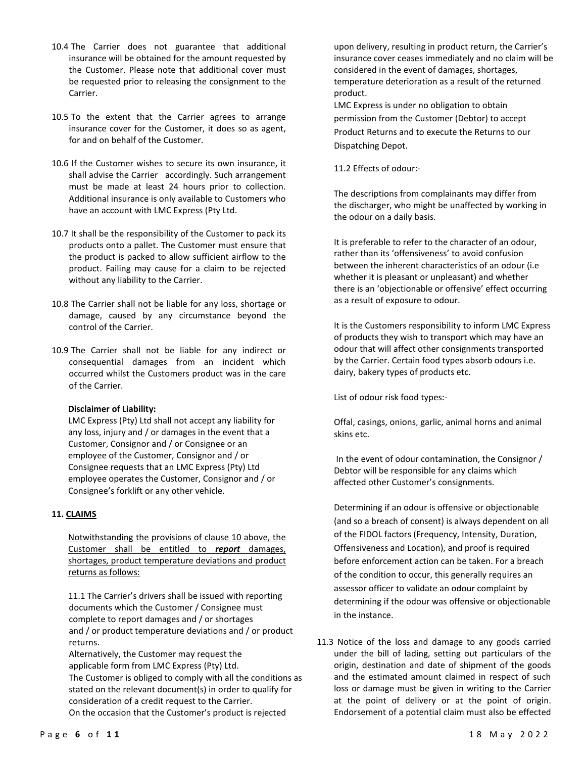- 10.4 The Carrier does not guarantee that additional insurance will be obtained for the amount requested by the Customer. Please note that additional cover must be requested prior to releasing the consignment to the Carrier.
- 10.5 To the extent that the Carrier agrees to arrange insurance cover for the Customer, it does so as agent, for and on behalf of the Customer.
- 10.6 If the Customer wishes to secure its own insurance, it shall advise the Carrier accordingly. Such arrangement must be made at least 24 hours prior to collection. Additional insurance is only available to Customers who have an account with LMC Express (Pty Ltd.
- 10.7 It shall be the responsibility of the Customer to pack its products onto a pallet. The Customer must ensure that the product is packed to allow sufficient airflow to the product. Failing may cause for a claim to be rejected without any liability to the Carrier.
- 10.8 The Carrier shall not be liable for any loss, shortage or damage, caused by any circumstance beyond the control of the Carrier.
- 10.9 The Carrier shall not be liable for any indirect or consequential damages from an incident which occurred whilst the Customers product was in the care of the Carrier.

### Disclaimer of Liability:

LMC Express (Pty) Ltd shall not accept any liability for any loss, injury and / or damages in the event that a Customer, Consignor and / or Consignee or an employee of the Customer, Consignor and / or Consignee requests that an LMC Express (Pty) Ltd employee operates the Customer, Consignor and / or Consignee's forklift or any other vehicle.

### 11. CLAIMS

Notwithstanding the provisions of clause 10 above, the Customer shall be entitled to report damages, shortages, product temperature deviations and product returns as follows:

11.1 The Carrier's drivers shall be issued with reporting documents which the Customer / Consignee must complete to report damages and / or shortages and / or product temperature deviations and / or product returns.

Alternatively, the Customer may request the applicable form from LMC Express (Pty) Ltd. The Customer is obliged to comply with all the conditions as stated on the relevant document(s) in order to qualify for consideration of a credit request to the Carrier. On the occasion that the Customer's product is rejected

upon delivery, resulting in product return, the Carrier's insurance cover ceases immediately and no claim will be considered in the event of damages, shortages, temperature deterioration as a result of the returned product.

LMC Express is under no obligation to obtain permission from the Customer (Debtor) to accept Product Returns and to execute the Returns to our Dispatching Depot.

11.2 Effects of odour:-

The descriptions from complainants may differ from the discharger, who might be unaffected by working in the odour on a daily basis.

It is preferable to refer to the character of an odour, rather than its 'offensiveness' to avoid confusion between the inherent characteristics of an odour (i.e whether it is pleasant or unpleasant) and whether there is an 'objectionable or offensive' effect occurring as a result of exposure to odour.

It is the Customers responsibility to inform LMC Express of products they wish to transport which may have an odour that will affect other consignments transported by the Carrier. Certain food types absorb odours i.e. dairy, bakery types of products etc.

List of odour risk food types:-

Offal, casings, onions, garlic, animal horns and animal skins etc.

In the event of odour contamination, the Consignor / Debtor will be responsible for any claims which affected other Customer's consignments.

Determining if an odour is offensive or objectionable (and so a breach of consent) is always dependent on all of the FIDOL factors (Frequency, Intensity, Duration, Offensiveness and Location), and proof is required before enforcement action can be taken. For a breach of the condition to occur, this generally requires an assessor officer to validate an odour complaint by determining if the odour was offensive or objectionable in the instance.

11.3 Notice of the loss and damage to any goods carried under the bill of lading, setting out particulars of the origin, destination and date of shipment of the goods and the estimated amount claimed in respect of such loss or damage must be given in writing to the Carrier at the point of delivery or at the point of origin. Endorsement of a potential claim must also be effected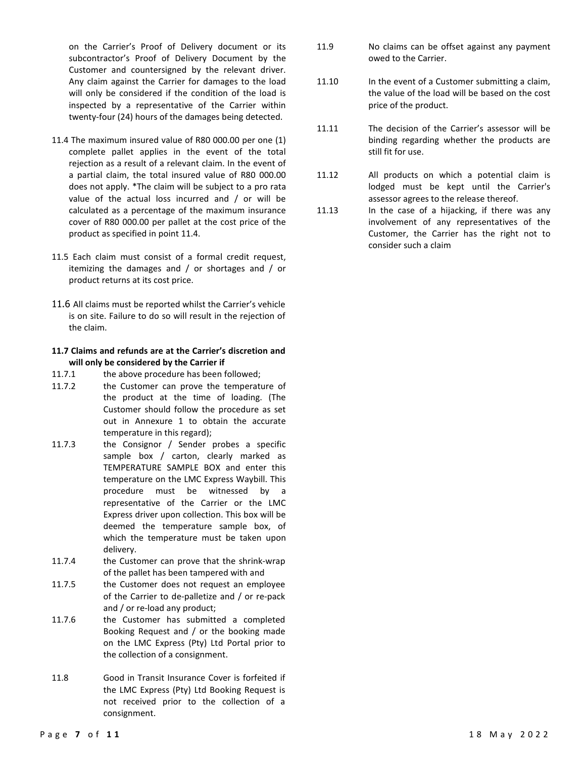on the Carrier's Proof of Delivery document or its subcontractor's Proof of Delivery Document by the Customer and countersigned by the relevant driver. Any claim against the Carrier for damages to the load will only be considered if the condition of the load is inspected by a representative of the Carrier within twenty-four (24) hours of the damages being detected.

- 11.4 The maximum insured value of R80 000.00 per one (1) complete pallet applies in the event of the total rejection as a result of a relevant claim. In the event of a partial claim, the total insured value of R80 000.00 does not apply. \*The claim will be subject to a pro rata value of the actual loss incurred and / or will be calculated as a percentage of the maximum insurance cover of R80 000.00 per pallet at the cost price of the product as specified in point 11.4.
- 11.5 Each claim must consist of a formal credit request, itemizing the damages and / or shortages and / or product returns at its cost price.
- 11.6 All claims must be reported whilst the Carrier's vehicle is on site. Failure to do so will result in the rejection of the claim.

#### 11.7 Claims and refunds are at the Carrier's discretion and will only be considered by the Carrier if

- 11.7.1 the above procedure has been followed;
- 11.7.2 the Customer can prove the temperature of the product at the time of loading. (The Customer should follow the procedure as set out in Annexure 1 to obtain the accurate temperature in this regard);
- 11.7.3 the Consignor / Sender probes a specific sample box / carton, clearly marked as TEMPERATURE SAMPLE BOX and enter this temperature on the LMC Express Waybill. This procedure must be witnessed by a representative of the Carrier or the LMC Express driver upon collection. This box will be deemed the temperature sample box, of which the temperature must be taken upon delivery.
- 11.7.4 the Customer can prove that the shrink-wrap of the pallet has been tampered with and
- 11.7.5 the Customer does not request an employee of the Carrier to de-palletize and / or re-pack and / or re-load any product;
- 11.7.6 the Customer has submitted a completed Booking Request and / or the booking made on the LMC Express (Pty) Ltd Portal prior to the collection of a consignment.
- 11.8 Good in Transit Insurance Cover is forfeited if the LMC Express (Pty) Ltd Booking Request is not received prior to the collection of a consignment.
- 11.9 No claims can be offset against any payment owed to the Carrier.
- 11.10 In the event of a Customer submitting a claim, the value of the load will be based on the cost price of the product.
- 11.11 The decision of the Carrier's assessor will be binding regarding whether the products are still fit for use.
- 11.12 All products on which a potential claim is lodged must be kept until the Carrier's assessor agrees to the release thereof.
- 11.13 In the case of a hijacking, if there was any involvement of any representatives of the Customer, the Carrier has the right not to consider such a claim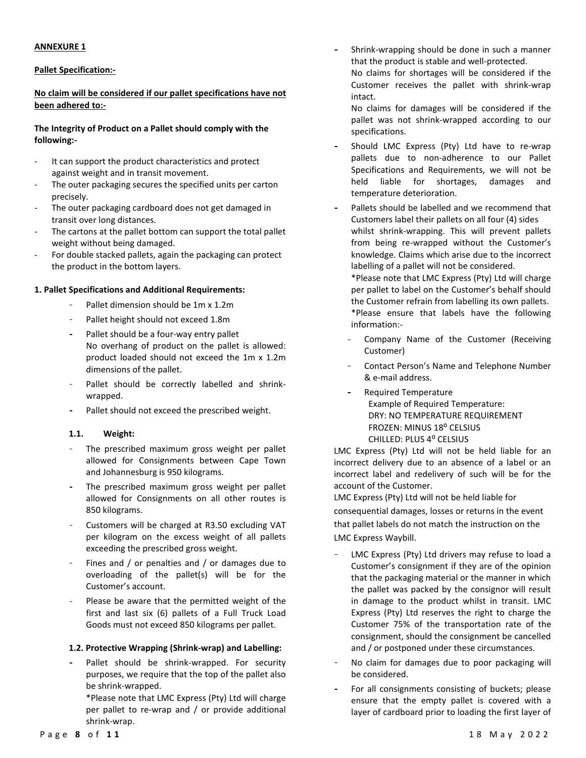#### ANNEXURE 1

### Pallet Specification:-

## No claim will be considered if our pallet specifications have not been adhered to:-

## The Integrity of Product on a Pallet should comply with the following:-

- It can support the product characteristics and protect against weight and in transit movement.
- The outer packaging secures the specified units per carton precisely.
- The outer packaging cardboard does not get damaged in transit over long distances.
- The cartons at the pallet bottom can support the total pallet weight without being damaged.
- For double stacked pallets, again the packaging can protect the product in the bottom layers.

#### 1. Pallet Specifications and Additional Requirements:

- Pallet dimension should be 1m x 1.2m
- Pallet height should not exceed 1.8m
- Pallet should be a four-way entry pallet No overhang of product on the pallet is allowed: product loaded should not exceed the 1m x 1.2m dimensions of the pallet.
- Pallet should be correctly labelled and shrinkwrapped.
- Pallet should not exceed the prescribed weight.

#### 1.1. Weight:

- The prescribed maximum gross weight per pallet allowed for Consignments between Cape Town and Johannesburg is 950 kilograms.
- The prescribed maximum gross weight per pallet allowed for Consignments on all other routes is 850 kilograms.
- Customers will be charged at R3.50 excluding VAT per kilogram on the excess weight of all pallets exceeding the prescribed gross weight.
- Fines and / or penalties and / or damages due to overloading of the pallet(s) will be for the Customer's account.
- Please be aware that the permitted weight of the first and last six (6) pallets of a Full Truck Load Goods must not exceed 850 kilograms per pallet.

#### 1.2. Protective Wrapping (Shrink-wrap) and Labelling:

Pallet should be shrink-wrapped. For security purposes, we require that the top of the pallet also be shrink-wrapped.

\*Please note that LMC Express (Pty) Ltd will charge per pallet to re-wrap and / or provide additional shrink-wrap.

- Shrink-wrapping should be done in such a manner that the product is stable and well-protected.

No claims for shortages will be considered if the Customer receives the pallet with shrink-wrap intact.

No claims for damages will be considered if the pallet was not shrink-wrapped according to our specifications.

- Should LMC Express (Pty) Ltd have to re-wrap pallets due to non-adherence to our Pallet Specifications and Requirements, we will not be held liable for shortages, damages and temperature deterioration.
- Pallets should be labelled and we recommend that Customers label their pallets on all four (4) sides whilst shrink-wrapping. This will prevent pallets from being re-wrapped without the Customer's knowledge. Claims which arise due to the incorrect labelling of a pallet will not be considered. \*Please note that LMC Express (Pty) Ltd will charge per pallet to label on the Customer's behalf should the Customer refrain from labelling its own pallets. \*Please ensure that labels have the following information:-
	- Company Name of the Customer (Receiving Customer)
	- Contact Person's Name and Telephone Number & e-mail address.
	- Required Temperature Example of Required Temperature: DRY: NO TEMPERATURE REQUIREMENT FROZEN: MINUS 18⁰ CELSIUS CHILLED: PLUS 4⁰ CELSIUS

LMC Express (Pty) Ltd will not be held liable for an incorrect delivery due to an absence of a label or an incorrect label and redelivery of such will be for the account of the Customer.

LMC Express (Pty) Ltd will not be held liable for consequential damages, losses or returns in the event that pallet labels do not match the instruction on the LMC Express Waybill.

- LMC Express (Pty) Ltd drivers may refuse to load a Customer's consignment if they are of the opinion that the packaging material or the manner in which the pallet was packed by the consignor will result in damage to the product whilst in transit. LMC Express (Pty) Ltd reserves the right to charge the Customer 75% of the transportation rate of the consignment, should the consignment be cancelled and / or postponed under these circumstances.
- No claim for damages due to poor packaging will be considered.
- For all consignments consisting of buckets; please ensure that the empty pallet is covered with a layer of cardboard prior to loading the first layer of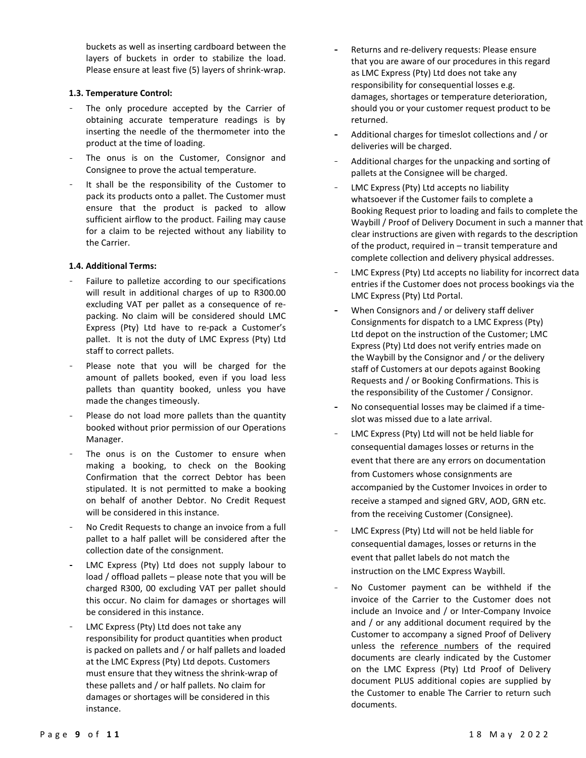buckets as well as inserting cardboard between the layers of buckets in order to stabilize the load. Please ensure at least five (5) layers of shrink-wrap.

### 1.3. Temperature Control:

- The only procedure accepted by the Carrier of obtaining accurate temperature readings is by inserting the needle of the thermometer into the product at the time of loading.
- The onus is on the Customer, Consignor and Consignee to prove the actual temperature.
- It shall be the responsibility of the Customer to pack its products onto a pallet. The Customer must ensure that the product is packed to allow sufficient airflow to the product. Failing may cause for a claim to be rejected without any liability to the Carrier.

### 1.4. Additional Terms:

- Failure to palletize according to our specifications will result in additional charges of up to R300.00 excluding VAT per pallet as a consequence of repacking. No claim will be considered should LMC Express (Pty) Ltd have to re-pack a Customer's pallet. It is not the duty of LMC Express (Pty) Ltd staff to correct pallets.
- Please note that you will be charged for the amount of pallets booked, even if you load less pallets than quantity booked, unless you have made the changes timeously.
- Please do not load more pallets than the quantity booked without prior permission of our Operations Manager.
- The onus is on the Customer to ensure when making a booking, to check on the Booking Confirmation that the correct Debtor has been stipulated. It is not permitted to make a booking on behalf of another Debtor. No Credit Request will be considered in this instance.
- No Credit Requests to change an invoice from a full pallet to a half pallet will be considered after the collection date of the consignment.
- LMC Express (Pty) Ltd does not supply labour to load / offload pallets – please note that you will be charged R300, 00 excluding VAT per pallet should this occur. No claim for damages or shortages will be considered in this instance.
- LMC Express (Pty) Ltd does not take any responsibility for product quantities when product is packed on pallets and / or half pallets and loaded at the LMC Express (Pty) Ltd depots. Customers must ensure that they witness the shrink-wrap of these pallets and / or half pallets. No claim for damages or shortages will be considered in this instance.
- Returns and re-delivery requests: Please ensure that you are aware of our procedures in this regard as LMC Express (Pty) Ltd does not take any responsibility for consequential losses e.g. damages, shortages or temperature deterioration, should you or your customer request product to be returned.
- Additional charges for timeslot collections and / or deliveries will be charged.
- Additional charges for the unpacking and sorting of pallets at the Consignee will be charged.
- LMC Express (Pty) Ltd accepts no liability whatsoever if the Customer fails to complete a Booking Request prior to loading and fails to complete the Waybill / Proof of Delivery Document in such a manner that clear instructions are given with regards to the description of the product, required in – transit temperature and complete collection and delivery physical addresses.
- LMC Express (Pty) Ltd accepts no liability for incorrect data entries if the Customer does not process bookings via the LMC Express (Pty) Ltd Portal.
- When Consignors and / or delivery staff deliver Consignments for dispatch to a LMC Express (Pty) Ltd depot on the instruction of the Customer; LMC Express (Pty) Ltd does not verify entries made on the Waybill by the Consignor and / or the delivery staff of Customers at our depots against Booking Requests and / or Booking Confirmations. This is the responsibility of the Customer / Consignor.
- No consequential losses may be claimed if a timeslot was missed due to a late arrival.
- LMC Express (Pty) Ltd will not be held liable for consequential damages losses or returns in the event that there are any errors on documentation from Customers whose consignments are accompanied by the Customer Invoices in order to receive a stamped and signed GRV, AOD, GRN etc. from the receiving Customer (Consignee).
- LMC Express (Pty) Ltd will not be held liable for consequential damages, losses or returns in the event that pallet labels do not match the instruction on the LMC Express Waybill.
- No Customer payment can be withheld if the invoice of the Carrier to the Customer does not include an Invoice and / or Inter-Company Invoice and / or any additional document required by the Customer to accompany a signed Proof of Delivery unless the reference numbers of the required documents are clearly indicated by the Customer on the LMC Express (Pty) Ltd Proof of Delivery document PLUS additional copies are supplied by the Customer to enable The Carrier to return such documents.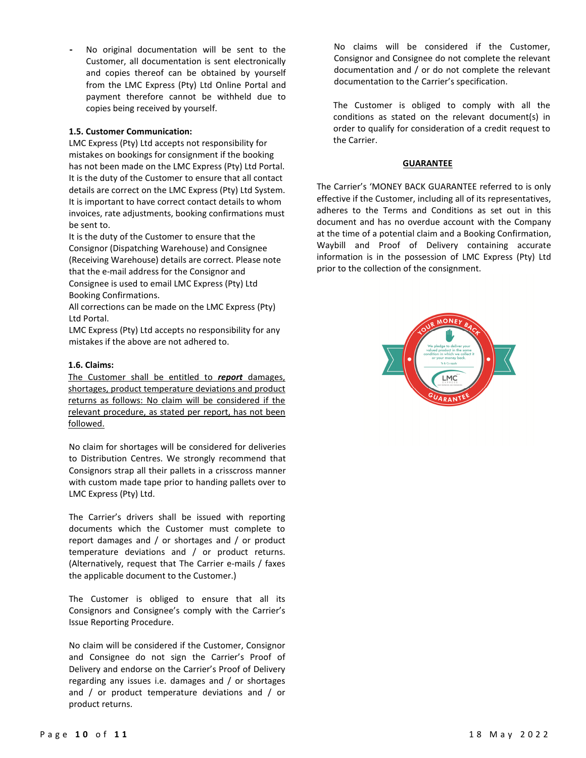No original documentation will be sent to the Customer, all documentation is sent electronically and copies thereof can be obtained by yourself from the LMC Express (Pty) Ltd Online Portal and payment therefore cannot be withheld due to copies being received by yourself.

### 1.5. Customer Communication:

LMC Express (Pty) Ltd accepts not responsibility for mistakes on bookings for consignment if the booking has not been made on the LMC Express (Pty) Ltd Portal. It is the duty of the Customer to ensure that all contact details are correct on the LMC Express (Pty) Ltd System. It is important to have correct contact details to whom invoices, rate adjustments, booking confirmations must be sent to.

It is the duty of the Customer to ensure that the Consignor (Dispatching Warehouse) and Consignee (Receiving Warehouse) details are correct. Please note that the e-mail address for the Consignor and Consignee is used to email LMC Express (Pty) Ltd Booking Confirmations.

All corrections can be made on the LMC Express (Pty) Ltd Portal.

LMC Express (Pty) Ltd accepts no responsibility for any mistakes if the above are not adhered to.

# 1.6. Claims:

The Customer shall be entitled to report damages, shortages, product temperature deviations and product returns as follows: No claim will be considered if the relevant procedure, as stated per report, has not been followed.

No claim for shortages will be considered for deliveries to Distribution Centres. We strongly recommend that Consignors strap all their pallets in a crisscross manner with custom made tape prior to handing pallets over to LMC Express (Pty) Ltd.

The Carrier's drivers shall be issued with reporting documents which the Customer must complete to report damages and / or shortages and / or product temperature deviations and / or product returns. (Alternatively, request that The Carrier e-mails / faxes the applicable document to the Customer.)

The Customer is obliged to ensure that all its Consignors and Consignee's comply with the Carrier's Issue Reporting Procedure.

No claim will be considered if the Customer, Consignor and Consignee do not sign the Carrier's Proof of Delivery and endorse on the Carrier's Proof of Delivery regarding any issues i.e. damages and / or shortages and / or product temperature deviations and / or product returns.

No claims will be considered if the Customer, Consignor and Consignee do not complete the relevant documentation and / or do not complete the relevant documentation to the Carrier's specification.

The Customer is obliged to comply with all the conditions as stated on the relevant document(s) in order to qualify for consideration of a credit request to the Carrier.

#### GUARANTEE

The Carrier's 'MONEY BACK GUARANTEE referred to is only effective if the Customer, including all of its representatives, adheres to the Terms and Conditions as set out in this document and has no overdue account with the Company at the time of a potential claim and a Booking Confirmation, Waybill and Proof of Delivery containing accurate information is in the possession of LMC Express (Pty) Ltd prior to the collection of the consignment.